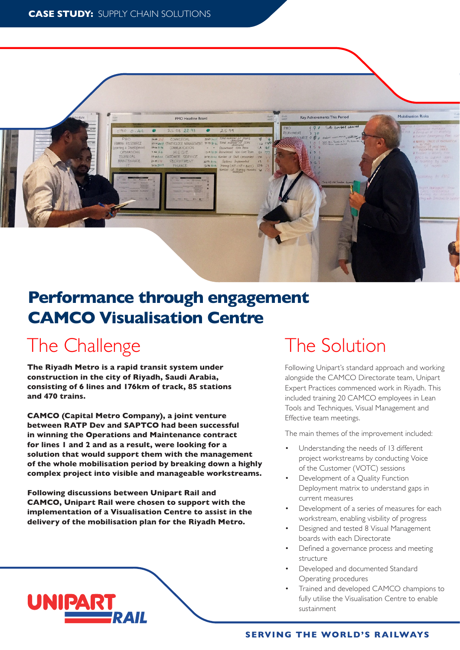

#### **Performance through engagement CAMCO Visualisation Centre**

## The Challenge

**UNIPAR** 

**The Riyadh Metro is a rapid transit system under construction in the city of Riyadh, Saudi Arabia, consisting of 6 lines and 176km of track, 85 stations and 470 trains.**

**CAMCO (Capital Metro Company), a joint venture between RATP Dev and SAPTCO had been successful in winning the Operations and Maintenance contract for lines 1 and 2 and as a result, were looking for a solution that would support them with the management of the whole mobilisation period by breaking down a highly complex project into visible and manageable workstreams.**

**Following discussions between Unipart Rail and CAMCO, Unipart Rail were chosen to support with the implementation of a Visualisation Centre to assist in the delivery of the mobilisation plan for the Riyadh Metro.**

### The Solution

Following Unipart's standard approach and working alongside the CAMCO Directorate team, Unipart Expert Practices commenced work in Riyadh. This included training 20 CAMCO employees in Lean Tools and Techniques, Visual Management and Effective team meetings.

The main themes of the improvement included:

- Understanding the needs of 13 different project workstreams by conducting Voice of the Customer (VOTC) sessions
- Development of a Quality Function Deployment matrix to understand gaps in current measures
- Development of a series of measures for each workstream, enabling visbility of progress
- Designed and tested 8 Visual Management boards with each Directorate
- Defined a governance process and meeting structure
- Developed and documented Standard Operating procedures
- Trained and developed CAMCO champions to fully utilise the Visualisation Centre to enable sustainment